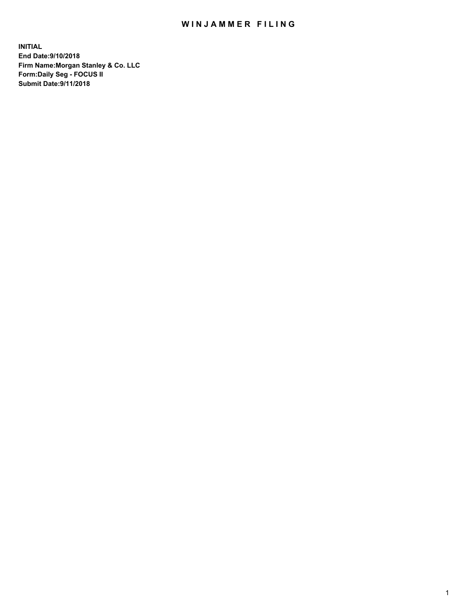## WIN JAMMER FILING

**INITIAL End Date:9/10/2018 Firm Name:Morgan Stanley & Co. LLC Form:Daily Seg - FOCUS II Submit Date:9/11/2018**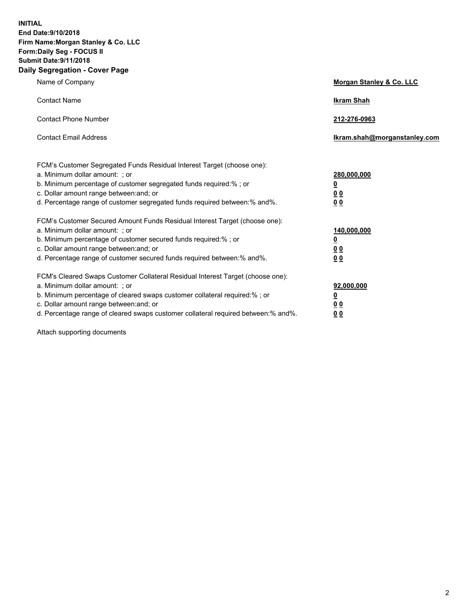**INITIAL End Date:9/10/2018 Firm Name:Morgan Stanley & Co. LLC Form:Daily Seg - FOCUS II Submit Date:9/11/2018 Daily Segregation - Cover Page**

| Name of Company                                                                                                                                                                                                                                                                                                                | Morgan Stanley & Co. LLC                               |
|--------------------------------------------------------------------------------------------------------------------------------------------------------------------------------------------------------------------------------------------------------------------------------------------------------------------------------|--------------------------------------------------------|
| <b>Contact Name</b>                                                                                                                                                                                                                                                                                                            | <b>Ikram Shah</b>                                      |
| <b>Contact Phone Number</b>                                                                                                                                                                                                                                                                                                    | 212-276-0963                                           |
| <b>Contact Email Address</b>                                                                                                                                                                                                                                                                                                   | Ikram.shah@morganstanley.com                           |
| FCM's Customer Segregated Funds Residual Interest Target (choose one):<br>a. Minimum dollar amount: ; or<br>b. Minimum percentage of customer segregated funds required:% ; or<br>c. Dollar amount range between: and; or<br>d. Percentage range of customer segregated funds required between:% and%.                         | 280,000,000<br><u>0</u><br><u>0 0</u><br>0 Q           |
| FCM's Customer Secured Amount Funds Residual Interest Target (choose one):<br>a. Minimum dollar amount: ; or<br>b. Minimum percentage of customer secured funds required:%; or<br>c. Dollar amount range between: and; or<br>d. Percentage range of customer secured funds required between:% and%.                            | 140,000,000<br><u>0</u><br><u>00</u><br>0 <sub>0</sub> |
| FCM's Cleared Swaps Customer Collateral Residual Interest Target (choose one):<br>a. Minimum dollar amount: ; or<br>b. Minimum percentage of cleared swaps customer collateral required:% ; or<br>c. Dollar amount range between: and; or<br>d. Percentage range of cleared swaps customer collateral required between:% and%. | 92,000,000<br><u>0</u><br><u>00</u><br>0 <sub>0</sub>  |

Attach supporting documents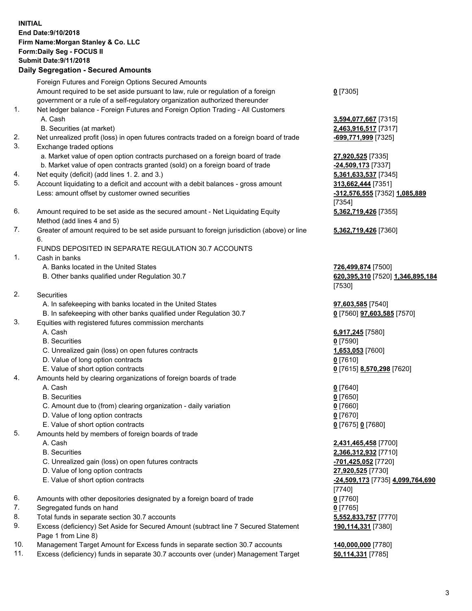## **INITIAL End Date:9/10/2018 Firm Name:Morgan Stanley & Co. LLC Form:Daily Seg - FOCUS II Submit Date:9/11/2018 Daily Segregation - Secured Amounts** Foreign Futures and Foreign Options Secured Amounts Amount required to be set aside pursuant to law, rule or regulation of a foreign government or a rule of a self-regulatory organization authorized thereunder 1. Net ledger balance - Foreign Futures and Foreign Option Trading - All Customers A. Cash **3,594,077,667** [7315] B. Securities (at market) **2,463,916,517** [7317] 2. Net unrealized profit (loss) in open futures contracts traded on a foreign board of trade **-699,771,999** [7325] 3. Exchange traded options a. Market value of open option contracts purchased on a foreign board of trade **27,920,525** [7335] b. Market value of open contracts granted (sold) on a foreign board of trade **-24,509,173** [7337] 4. Net equity (deficit) (add lines 1. 2. and 3.) **5,361,633,537** [7345] 5. Account liquidating to a deficit and account with a debit balances - gross amount **313,662,444** [7351] Less: amount offset by customer owned securities **-312,576,555** [7352] **1,085,889** 6. Amount required to be set aside as the secured amount - Net Liquidating Equity Method (add lines 4 and 5) 7. Greater of amount required to be set aside pursuant to foreign jurisdiction (above) or line 6. FUNDS DEPOSITED IN SEPARATE REGULATION 30.7 ACCOUNTS 1. Cash in banks A. Banks located in the United States **726,499,874** [7500] B. Other banks qualified under Regulation 30.7 **620,395,310** [7520] **1,346,895,184** 2. Securities A. In safekeeping with banks located in the United States **97,603,585** [7540] B. In safekeeping with other banks qualified under Regulation 30.7 **0** [7560] **97,603,585** [7570] 3. Equities with registered futures commission merchants A. Cash **6,917,245** [7580] B. Securities **0** [7590] C. Unrealized gain (loss) on open futures contracts **1,653,053** [7600] D. Value of long option contracts **0** [7610] E. Value of short option contracts **0** [7615] **8,570,298** [7620] 4. Amounts held by clearing organizations of foreign boards of trade A. Cash **0** [7640] B. Securities **0** [7650] C. Amount due to (from) clearing organization - daily variation **0** [7660] D. Value of long option contracts **0** [7670] E. Value of short option contracts **0** [7675] **0** [7680] 5. Amounts held by members of foreign boards of trade A. Cash **2,431,465,458** [7700] B. Securities **2,366,312,932** [7710]

- C. Unrealized gain (loss) on open futures contracts **-701,425,052** [7720]
- D. Value of long option contracts **27,920,525** [7730]
- E. Value of short option contracts **-24,509,173** [7735] **4,099,764,690**
- 6. Amounts with other depositories designated by a foreign board of trade **0** [7760]
- 7. Segregated funds on hand **0** [7765]
- 8. Total funds in separate section 30.7 accounts **5,552,833,757** [7770]
- 9. Excess (deficiency) Set Aside for Secured Amount (subtract line 7 Secured Statement Page 1 from Line 8)
- 10. Management Target Amount for Excess funds in separate section 30.7 accounts **140,000,000** [7780]
- 11. Excess (deficiency) funds in separate 30.7 accounts over (under) Management Target **50,114,331** [7785]

**0** [7305]

[7354] **5,362,719,426** [7355]

**5,362,719,426** [7360]

[7530]

[7740] **190,114,331** [7380]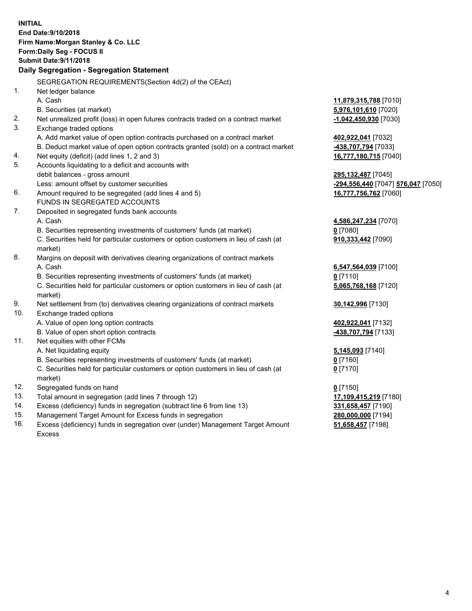**INITIAL End Date:9/10/2018 Firm Name:Morgan Stanley & Co. LLC Form:Daily Seg - FOCUS II Submit Date:9/11/2018 Daily Segregation - Segregation Statement** SEGREGATION REQUIREMENTS(Section 4d(2) of the CEAct) 1. Net ledger balance A. Cash **11,879,315,788** [7010] B. Securities (at market) **5,976,101,610** [7020] 2. Net unrealized profit (loss) in open futures contracts traded on a contract market **-1,042,450,930** [7030] 3. Exchange traded options A. Add market value of open option contracts purchased on a contract market **402,922,041** [7032] B. Deduct market value of open option contracts granted (sold) on a contract market **-438,707,794** [7033] 4. Net equity (deficit) (add lines 1, 2 and 3) **16,777,180,715** [7040] 5. Accounts liquidating to a deficit and accounts with debit balances - gross amount **295,132,487** [7045] Less: amount offset by customer securities **-294,556,440** [7047] **576,047** [7050] 6. Amount required to be segregated (add lines 4 and 5) **16,777,756,762** [7060] FUNDS IN SEGREGATED ACCOUNTS 7. Deposited in segregated funds bank accounts A. Cash **4,586,247,234** [7070] B. Securities representing investments of customers' funds (at market) **0** [7080] C. Securities held for particular customers or option customers in lieu of cash (at market) **910,333,442** [7090] 8. Margins on deposit with derivatives clearing organizations of contract markets A. Cash **6,547,564,039** [7100] B. Securities representing investments of customers' funds (at market) **0** [7110] C. Securities held for particular customers or option customers in lieu of cash (at market) **5,065,768,168** [7120] 9. Net settlement from (to) derivatives clearing organizations of contract markets **30,142,996** [7130] 10. Exchange traded options A. Value of open long option contracts **402,922,041** [7132] B. Value of open short option contracts **-438,707,794** [7133] 11. Net equities with other FCMs A. Net liquidating equity **5,145,093** [7140] B. Securities representing investments of customers' funds (at market) **0** [7160] C. Securities held for particular customers or option customers in lieu of cash (at market) **0** [7170] 12. Segregated funds on hand **0** [7150] 13. Total amount in segregation (add lines 7 through 12) **17,109,415,219** [7180] 14. Excess (deficiency) funds in segregation (subtract line 6 from line 13) **331,658,457** [7190] 15. Management Target Amount for Excess funds in segregation **280,000,000** [7194] **51,658,457** [7198]

16. Excess (deficiency) funds in segregation over (under) Management Target Amount Excess